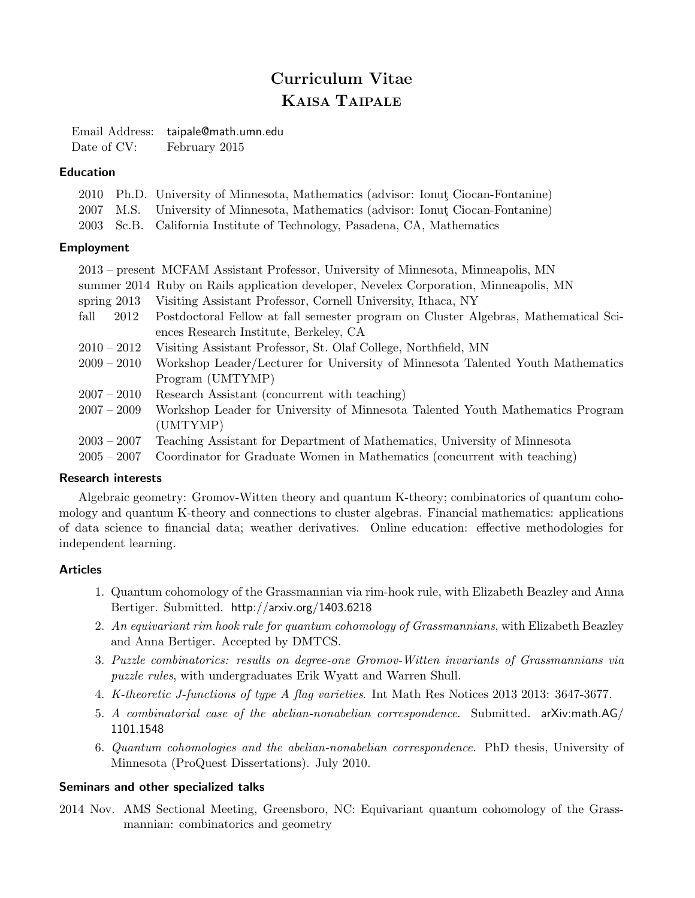# Curriculum Vitae KAISA TAIPALE

Email Address: taipale@math.umn.edu Date of CV: February 2015

### Education

|  | 2010 Ph.D. University of Minnesota, Mathematics (advisor: Ionut Ciocan-Fontanine) |
|--|-----------------------------------------------------------------------------------|
|  | 2007 M.S. University of Minnesota, Mathematics (advisor: Ionut Ciocan-Fontanine)  |
|  | 2003 Sc.B. California Institute of Technology, Pasadena, CA, Mathematics          |

### Employment

|               | 2013 – present MCFAM Assistant Professor, University of Minnesota, Minneapolis, MN    |
|---------------|---------------------------------------------------------------------------------------|
|               | summer 2014 Ruby on Rails application developer, Nevelex Corporation, Minneapolis, MN |
| spring $2013$ | Visiting Assistant Professor, Cornell University, Ithaca, NY                          |
| fall<br>2012  | Postdoctoral Fellow at fall semester program on Cluster Algebras, Mathematical Sci-   |
|               | ences Research Institute, Berkeley, CA                                                |
| $2010 - 2012$ | Visiting Assistant Professor, St. Olaf College, Northfield, MN                        |
| $2009 - 2010$ | Workshop Leader/Lecturer for University of Minnesota Talented Youth Mathematics       |
|               | Program (UMTYMP)                                                                      |
| $2007 - 2010$ | Research Assistant (concurrent with teaching)                                         |
| $2007 - 2009$ | Workshop Leader for University of Minnesota Talented Youth Mathematics Program        |
|               | (UMTYMP)                                                                              |
| $2003 - 2007$ | Teaching Assistant for Department of Mathematics, University of Minnesota             |
| $2005 - 2007$ | Coordinator for Graduate Women in Mathematics (concurrent with teaching)              |

#### Research interests

Algebraic geometry: Gromov-Witten theory and quantum K-theory; combinatorics of quantum cohomology and quantum K-theory and connections to cluster algebras. Financial mathematics: applications of data science to financial data; weather derivatives. Online education: effective methodologies for independent learning.

### Articles

- 1. Quantum cohomology of the Grassmannian via rim-hook rule, with Elizabeth Beazley and Anna Bertiger. Submitted. http://arxiv.org/1403.6218
- 2. An equivariant rim hook rule for quantum cohomology of Grassmannians, with Elizabeth Beazley and Anna Bertiger. Accepted by DMTCS.
- 3. Puzzle combinatorics: results on degree-one Gromov-Witten invariants of Grassmannians via puzzle rules, with undergraduates Erik Wyatt and Warren Shull.
- 4. K-theoretic J-functions of type A flag varieties. Int Math Res Notices 2013 2013: 3647-3677.
- 5. A combinatorial case of the abelian-nonabelian correspondence. Submitted. arXiv:math.AG/ 1101.1548
- 6. Quantum cohomologies and the abelian-nonabelian correspondence. PhD thesis, University of Minnesota (ProQuest Dissertations). July 2010.

#### Seminars and other specialized talks

2014 Nov. AMS Sectional Meeting, Greensboro, NC: Equivariant quantum cohomology of the Grassmannian: combinatorics and geometry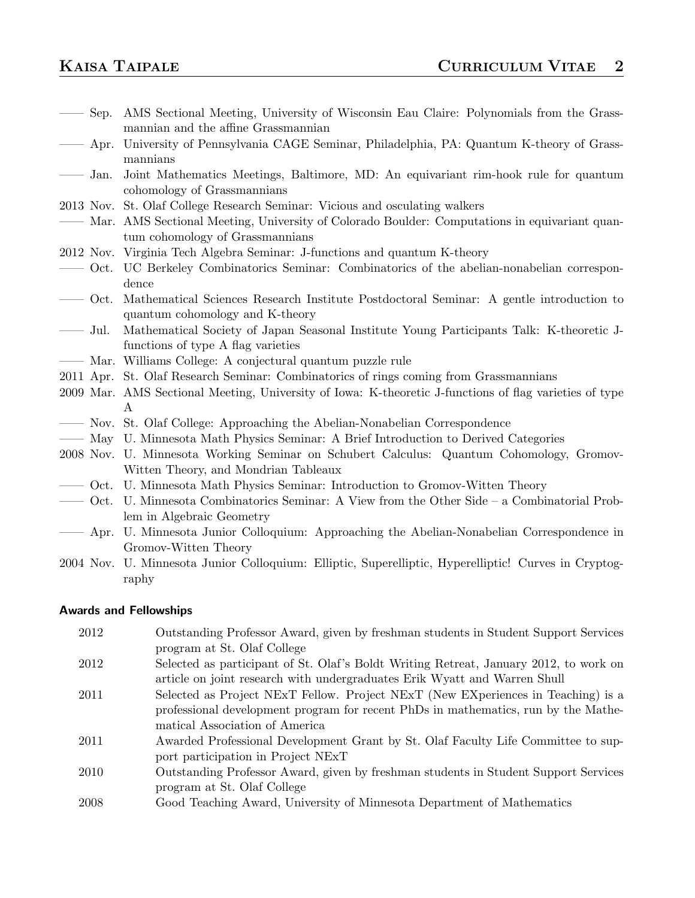| Sep.                          | AMS Sectional Meeting, University of Wisconsin Eau Claire: Polynomials from the Grass-<br>mannian and the affine Grassmannian |
|-------------------------------|-------------------------------------------------------------------------------------------------------------------------------|
| Apr.                          | University of Pennsylvania CAGE Seminar, Philadelphia, PA: Quantum K-theory of Grass-                                         |
|                               | mannians                                                                                                                      |
| Jan.                          | Joint Mathematics Meetings, Baltimore, MD: An equivariant rim-hook rule for quantum                                           |
|                               | cohomology of Grassmannians                                                                                                   |
|                               | 2013 Nov. St. Olaf College Research Seminar: Vicious and osculating walkers                                                   |
|                               | - Mar. AMS Sectional Meeting, University of Colorado Boulder: Computations in equivariant quan-                               |
|                               | tum cohomology of Grassmannians                                                                                               |
|                               | 2012 Nov. Virginia Tech Algebra Seminar: J-functions and quantum K-theory                                                     |
|                               | — Oct. UC Berkeley Combinatorics Seminar: Combinatorics of the abelian-nonabelian correspon-                                  |
|                               | dence                                                                                                                         |
| $\overline{\phantom{0}}$ Oct. | Mathematical Sciences Research Institute Postdoctoral Seminar: A gentle introduction to                                       |
|                               | quantum cohomology and K-theory                                                                                               |
| Jul.                          | Mathematical Society of Japan Seasonal Institute Young Participants Talk: K-theoretic J-                                      |
|                               | functions of type A flag varieties                                                                                            |
|                               | — Mar. Williams College: A conjectural quantum puzzle rule                                                                    |
|                               | 2011 Apr. St. Olaf Research Seminar: Combinatorics of rings coming from Grassmannians                                         |
|                               | 2009 Mar. AMS Sectional Meeting, University of Iowa: K-theoretic J-functions of flag varieties of type                        |
|                               | A                                                                                                                             |
|                               | - Nov. St. Olaf College: Approaching the Abelian-Nonabelian Correspondence                                                    |
|                               | — May U. Minnesota Math Physics Seminar: A Brief Introduction to Derived Categories                                           |
|                               | 2008 Nov. U. Minnesota Working Seminar on Schubert Calculus: Quantum Cohomology, Gromov-                                      |
|                               | Witten Theory, and Mondrian Tableaux                                                                                          |
|                               | - Oct. U. Minnesota Math Physics Seminar: Introduction to Gromov-Witten Theory                                                |
| Oct.                          | U. Minnesota Combinatorics Seminar: A View from the Other Side $-$ a Combinatorial Prob-                                      |
|                               | lem in Algebraic Geometry                                                                                                     |
| Apr.                          | U. Minnesota Junior Colloquium: Approaching the Abelian-Nonabelian Correspondence in                                          |
|                               | Gromov-Witten Theory                                                                                                          |

2004 Nov. U. Minnesota Junior Colloquium: Elliptic, Superelliptic, Hyperelliptic! Curves in Cryptography

### Awards and Fellowships

2012 Outstanding Professor Award, given by freshman students in Student Support Services program at St. Olaf College 2012 Selected as participant of St. Olaf's Boldt Writing Retreat, January 2012, to work on article on joint research with undergraduates Erik Wyatt and Warren Shull 2011 Selected as Project NExT Fellow. Project NExT (New EXperiences in Teaching) is a professional development program for recent PhDs in mathematics, run by the Mathematical Association of America 2011 Awarded Professional Development Grant by St. Olaf Faculty Life Committee to support participation in Project NExT 2010 Outstanding Professor Award, given by freshman students in Student Support Services program at St. Olaf College 2008 Good Teaching Award, University of Minnesota Department of Mathematics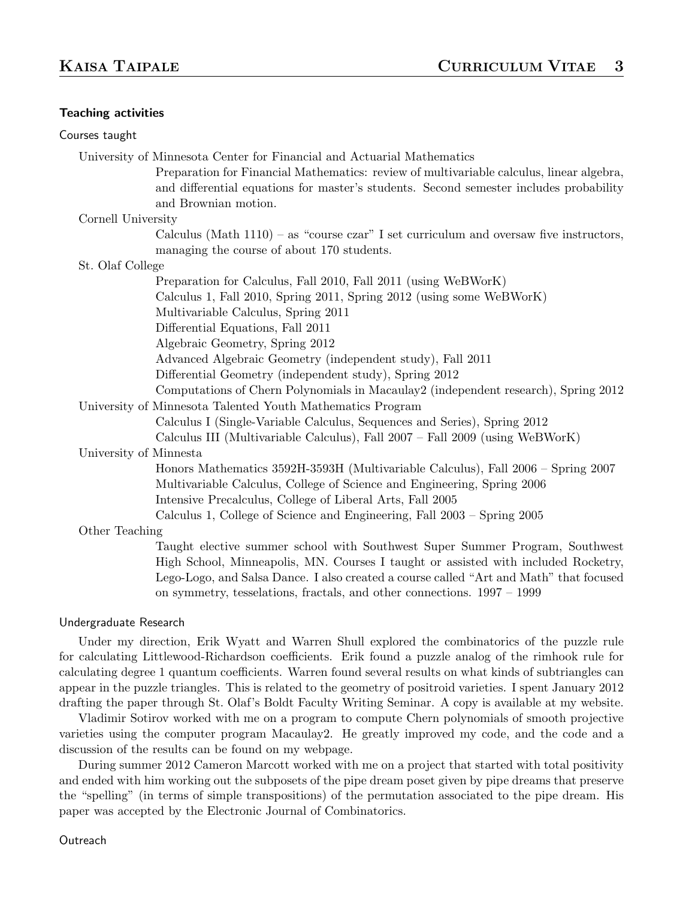#### Teaching activities

| Courses taught         |                                                                                                                                                                                    |
|------------------------|------------------------------------------------------------------------------------------------------------------------------------------------------------------------------------|
|                        | University of Minnesota Center for Financial and Actuarial Mathematics                                                                                                             |
|                        | Preparation for Financial Mathematics: review of multivariable calculus, linear algebra,<br>and differential equations for master's students. Second semester includes probability |
|                        | and Brownian motion.                                                                                                                                                               |
| Cornell University     |                                                                                                                                                                                    |
|                        | Calculus (Math $1110$ ) – as "course czar" I set curriculum and oversaw five instructors,<br>managing the course of about 170 students.                                            |
| St. Olaf College       |                                                                                                                                                                                    |
|                        | Preparation for Calculus, Fall 2010, Fall 2011 (using WeBWorK)                                                                                                                     |
|                        | Calculus 1, Fall 2010, Spring 2011, Spring 2012 (using some WeBWorK)                                                                                                               |
|                        | Multivariable Calculus, Spring 2011                                                                                                                                                |
|                        | Differential Equations, Fall 2011                                                                                                                                                  |
|                        | Algebraic Geometry, Spring 2012                                                                                                                                                    |
|                        | Advanced Algebraic Geometry (independent study), Fall 2011                                                                                                                         |
|                        | Differential Geometry (independent study), Spring 2012                                                                                                                             |
|                        | Computations of Chern Polynomials in Macaulay 2 (independent research), Spring 2012                                                                                                |
|                        | University of Minnesota Talented Youth Mathematics Program                                                                                                                         |
|                        | Calculus I (Single-Variable Calculus, Sequences and Series), Spring 2012                                                                                                           |
|                        | Calculus III (Multivariable Calculus), Fall 2007 - Fall 2009 (using WeBWorK)                                                                                                       |
| University of Minnesta |                                                                                                                                                                                    |
|                        | Honors Mathematics 3592H-3593H (Multivariable Calculus), Fall 2006 - Spring 2007<br>Multivariable Calculus, College of Science and Engineering, Spring 2006                        |
|                        | Intensive Precalculus, College of Liberal Arts, Fall 2005                                                                                                                          |
|                        | Calculus 1, College of Science and Engineering, Fall 2003 – Spring 2005                                                                                                            |
| Other Teaching         |                                                                                                                                                                                    |
|                        | Taught elective summer school with Southwest Super Summer Program, Southwest<br>High School, Minneapolis, MN. Courses I taught or assisted with included Rocketry,                 |
|                        | Lego-Logo, and Salsa Dance. I also created a course called "Art and Math" that focused<br>on symmetry, tesselations, fractals, and other connections. 1997 – 1999                  |
| Undergraduate Research |                                                                                                                                                                                    |

Under my direction, Erik Wyatt and Warren Shull explored the combinatorics of the puzzle rule for calculating Littlewood-Richardson coefficients. Erik found a puzzle analog of the rimhook rule for calculating degree 1 quantum coefficients. Warren found several results on what kinds of subtriangles can appear in the puzzle triangles. This is related to the geometry of positroid varieties. I spent January 2012 drafting the paper through St. Olaf's Boldt Faculty Writing Seminar. A copy is available at my website.

Vladimir Sotirov worked with me on a program to compute Chern polynomials of smooth projective varieties using the computer program Macaulay2. He greatly improved my code, and the code and a discussion of the results can be found on my webpage.

During summer 2012 Cameron Marcott worked with me on a project that started with total positivity and ended with him working out the subposets of the pipe dream poset given by pipe dreams that preserve the "spelling" (in terms of simple transpositions) of the permutation associated to the pipe dream. His paper was accepted by the Electronic Journal of Combinatorics.

#### **Outreach**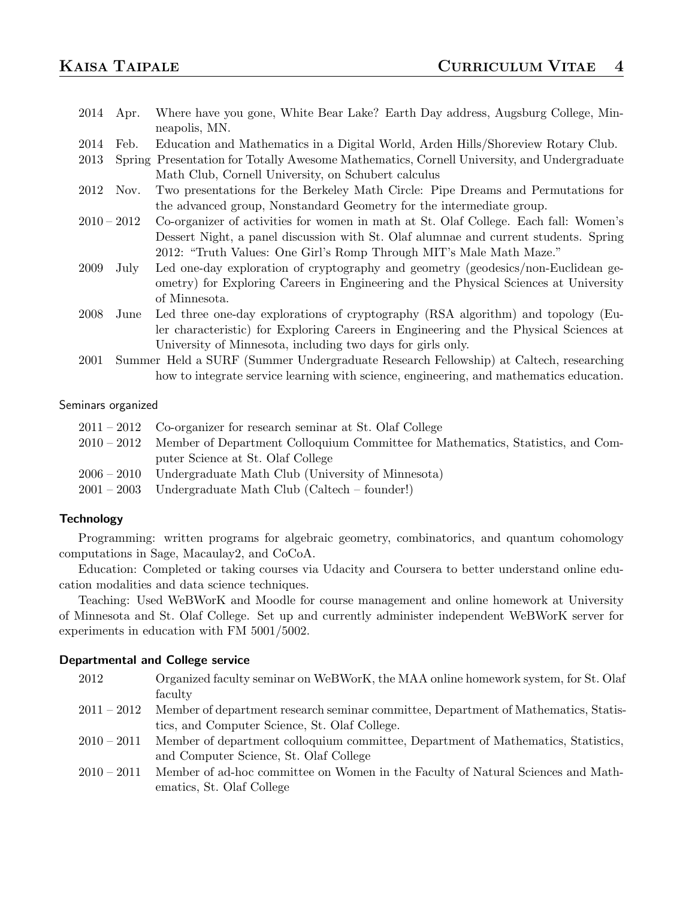- 2014 Apr. Where have you gone, White Bear Lake? Earth Day address, Augsburg College, Minneapolis, MN.
- 2014 Feb. Education and Mathematics in a Digital World, Arden Hills/Shoreview Rotary Club.
- 2013 Spring Presentation for Totally Awesome Mathematics, Cornell University, and Undergraduate Math Club, Cornell University, on Schubert calculus
- 2012 Nov. Two presentations for the Berkeley Math Circle: Pipe Dreams and Permutations for the advanced group, Nonstandard Geometry for the intermediate group.
- 2010 2012 Co-organizer of activities for women in math at St. Olaf College. Each fall: Women's Dessert Night, a panel discussion with St. Olaf alumnae and current students. Spring 2012: "Truth Values: One Girl's Romp Through MIT's Male Math Maze."
- 2009 July Led one-day exploration of cryptography and geometry (geodesics/non-Euclidean geometry) for Exploring Careers in Engineering and the Physical Sciences at University of Minnesota.
- 2008 June Led three one-day explorations of cryptography (RSA algorithm) and topology (Euler characteristic) for Exploring Careers in Engineering and the Physical Sciences at University of Minnesota, including two days for girls only.
- 2001 Summer Held a SURF (Summer Undergraduate Research Fellowship) at Caltech, researching how to integrate service learning with science, engineering, and mathematics education.

#### Seminars organized

| $2011 - 2012$ Co-organizer for research seminar at St. Olaf College                         |
|---------------------------------------------------------------------------------------------|
| 2010 – 2012 Member of Department Colloquium Committee for Mathematics, Statistics, and Com- |
| puter Science at St. Olaf College                                                           |
| $2006 - 2010$ Undergraduate Math Club (University of Minnesota)                             |
| $2001 - 2003$ Undergraduate Math Club (Caltech – founder!)                                  |
|                                                                                             |

#### **Technology**

Programming: written programs for algebraic geometry, combinatorics, and quantum cohomology computations in Sage, Macaulay2, and CoCoA.

Education: Completed or taking courses via Udacity and Coursera to better understand online education modalities and data science techniques.

Teaching: Used WeBWorK and Moodle for course management and online homework at University of Minnesota and St. Olaf College. Set up and currently administer independent WeBWorK server for experiments in education with FM 5001/5002.

#### Departmental and College service

| 2012          | Organized faculty seminar on WeBWorK, the MAA online homework system, for St. Olaf  |
|---------------|-------------------------------------------------------------------------------------|
|               | faculty                                                                             |
| $2011 - 2012$ | Member of department research seminar committee, Department of Mathematics, Statis- |
|               | tics, and Computer Science, St. Olaf College.                                       |
| $2010 - 2011$ | Member of department colloquium committee, Department of Mathematics, Statistics,   |
|               | and Computer Science, St. Olaf College                                              |
| $2010 - 2011$ | Member of ad-hoc committee on Women in the Faculty of Natural Sciences and Math-    |
|               | ematics, St. Olaf College                                                           |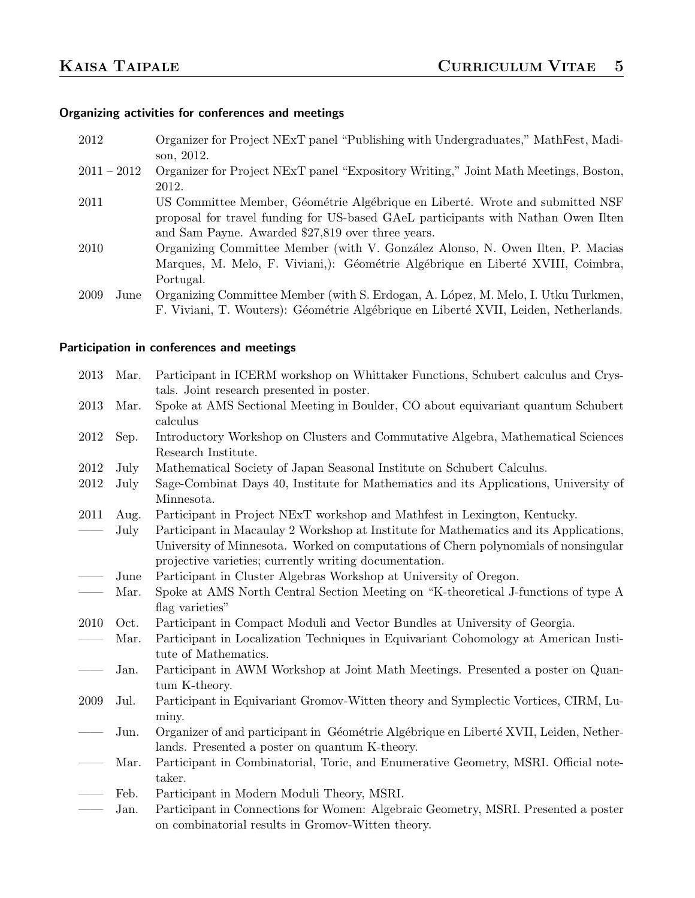# Organizing activities for conferences and meetings

| 2012          | Organizer for Project NExT panel "Publishing with Undergraduates," MathFest, Madi-  |
|---------------|-------------------------------------------------------------------------------------|
|               | son, 2012.                                                                          |
| $2011 - 2012$ | Organizer for Project NExT panel "Expository Writing," Joint Math Meetings, Boston, |
|               | 2012.                                                                               |
| 2011          | US Committee Member, Géométrie Algébrique en Liberté. Wrote and submitted NSF       |
|               | proposal for travel funding for US-based GAeL participants with Nathan Owen Ilten   |
|               | and Sam Payne. Awarded \$27,819 over three years.                                   |
| 2010          | Organizing Committee Member (with V. González Alonso, N. Owen Ilten, P. Macias      |
|               | Marques, M. Melo, F. Viviani,): Géométrie Algébrique en Liberté XVIII, Coimbra,     |
|               | Portugal.                                                                           |
| 2009<br>June  | Organizing Committee Member (with S. Erdogan, A. López, M. Melo, I. Utku Turkmen,   |
|               | F. Viviani, T. Wouters): Géométrie Algébrique en Liberté XVII, Leiden, Netherlands. |
|               |                                                                                     |

# Participation in conferences and meetings

| 2013 | Mar. | Participant in ICERM workshop on Whittaker Functions, Schubert calculus and Crys-<br>tals. Joint research presented in poster.                                                                                                         |
|------|------|----------------------------------------------------------------------------------------------------------------------------------------------------------------------------------------------------------------------------------------|
|      |      |                                                                                                                                                                                                                                        |
| 2013 | Mar. | Spoke at AMS Sectional Meeting in Boulder, CO about equivariant quantum Schubert<br>calculus                                                                                                                                           |
| 2012 | Sep. | Introductory Workshop on Clusters and Commutative Algebra, Mathematical Sciences<br>Research Institute.                                                                                                                                |
| 2012 | July | Mathematical Society of Japan Seasonal Institute on Schubert Calculus.                                                                                                                                                                 |
| 2012 | July | Sage-Combinat Days 40, Institute for Mathematics and its Applications, University of                                                                                                                                                   |
|      |      | Minnesota.                                                                                                                                                                                                                             |
| 2011 | Aug. | Participant in Project NExT workshop and Mathfest in Lexington, Kentucky.                                                                                                                                                              |
|      | July | Participant in Macaulay 2 Workshop at Institute for Mathematics and its Applications,<br>University of Minnesota. Worked on computations of Chern polynomials of nonsingular<br>projective varieties; currently writing documentation. |
|      | June | Participant in Cluster Algebras Workshop at University of Oregon.                                                                                                                                                                      |
|      | Mar. | Spoke at AMS North Central Section Meeting on "K-theoretical J-functions of type A                                                                                                                                                     |
|      |      | flag varieties"                                                                                                                                                                                                                        |
| 2010 | Oct. | Participant in Compact Moduli and Vector Bundles at University of Georgia.                                                                                                                                                             |
|      | Mar. | Participant in Localization Techniques in Equivariant Cohomology at American Insti-<br>tute of Mathematics.                                                                                                                            |
|      | Jan. | Participant in AWM Workshop at Joint Math Meetings. Presented a poster on Quan-<br>tum K-theory.                                                                                                                                       |
| 2009 | Jul. | Participant in Equivariant Gromov-Witten theory and Symplectic Vortices, CIRM, Lu-                                                                                                                                                     |
|      |      | miny.                                                                                                                                                                                                                                  |
|      | Jun. | Organizer of and participant in Géométrie Algébrique en Liberté XVII, Leiden, Nether-                                                                                                                                                  |
|      |      | lands. Presented a poster on quantum K-theory.                                                                                                                                                                                         |
|      | Mar. | Participant in Combinatorial, Toric, and Enumerative Geometry, MSRI. Official note-                                                                                                                                                    |
|      |      | taker.                                                                                                                                                                                                                                 |
|      | Feb. | Participant in Modern Moduli Theory, MSRI.                                                                                                                                                                                             |
|      | Jan. | Participant in Connections for Women: Algebraic Geometry, MSRI. Presented a poster                                                                                                                                                     |
|      |      | on combinatorial results in Gromov-Witten theory.                                                                                                                                                                                      |